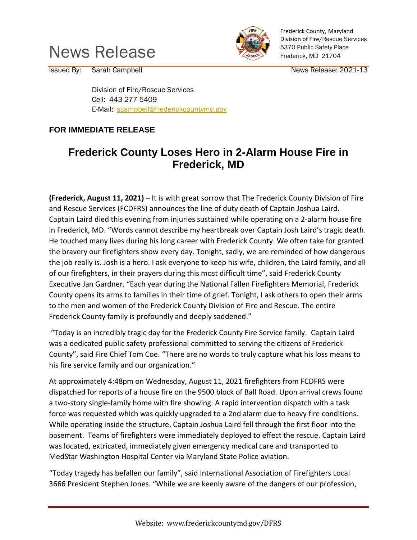



Frederick County, Maryland Division of Fire/Rescue Services 5370 Public Safety Place Frederick, MD 21704

Issued By: Sarah Campbell **Issued By:** Sarah Campbell News Release: 2021-13

Division of Fire/Rescue Services Cell: 443-277-5409 E-Mail: [scampbell@frederickcountymd.gov](mailto:scampbell@frederickcountymd.gov)

## **FOR IMMEDIATE RELEASE**

## **Frederick County Loses Hero in 2-Alarm House Fire in Frederick, MD**

**(Frederick, August 11, 2021)** – It is with great sorrow that The Frederick County Division of Fire and Rescue Services (FCDFRS) announces the line of duty death of Captain Joshua Laird. Captain Laird died this evening from injuries sustained while operating on a 2-alarm house fire in Frederick, MD. "Words cannot describe my heartbreak over Captain Josh Laird's tragic death. He touched many lives during his long career with Frederick County. We often take for granted the bravery our firefighters show every day. Tonight, sadly, we are reminded of how dangerous the job really is. Josh is a hero. I ask everyone to keep his wife, children, the Laird family, and all of our firefighters, in their prayers during this most difficult time", said Frederick County Executive Jan Gardner. "Each year during the National Fallen Firefighters Memorial, Frederick County opens its arms to families in their time of grief. Tonight, I ask others to open their arms to the men and women of the Frederick County Division of Fire and Rescue. The entire Frederick County family is profoundly and deeply saddened."

"Today is an incredibly tragic day for the Frederick County Fire Service family. Captain Laird was a dedicated public safety professional committed to serving the citizens of Frederick County", said Fire Chief Tom Coe. "There are no words to truly capture what his loss means to his fire service family and our organization."

At approximately 4:48pm on Wednesday, August 11, 2021 firefighters from FCDFRS were dispatched for reports of a house fire on the 9500 block of Ball Road. Upon arrival crews found a two-story single-family home with fire showing. A rapid intervention dispatch with a task force was requested which was quickly upgraded to a 2nd alarm due to heavy fire conditions. While operating inside the structure, Captain Joshua Laird fell through the first floor into the basement. Teams of firefighters were immediately deployed to effect the rescue. Captain Laird was located, extricated, immediately given emergency medical care and transported to MedStar Washington Hospital Center via Maryland State Police aviation.

"Today tragedy has befallen our family", said International Association of Firefighters Local 3666 President Stephen Jones. "While we are keenly aware of the dangers of our profession,